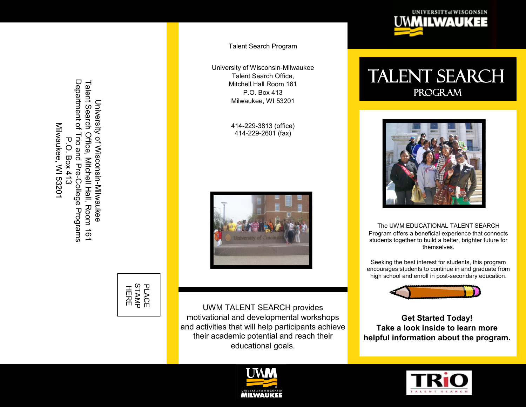Department of Trio and Pre-College Department of Trio and Pre Talent Search Office, Mitchell Hall, Room 161 Talent Search Office, Mitchell Hall, Room 161<br>Department of Trio and Pre-College Programs University of Wisconsin-Milwaukee University of WisconsinMilwaukee, WI 5320 Milwaukee, WI 53201 P.O. Box 413 P.O. Box 413 Milwaukee Programs



Talent Search Program

University of Wisconsin -Milwaukee Talent Search Office, Mitchell Hall Room 161 P.O. Box 413 Milwaukee, WI 53201

> 414 -229 -3813 (office) 414 -229 -2601 (fax)



UWM TALENT SEARCH provides motivational and developmental workshops and activities that will help participants achieve their academic potential and reach their educational goals.





Talent Search Program



The UWM EDUCATIONAL TALENT SEARCH Program offers a beneficial experience that connects students together to build a better, brighter future for themselves.

Seeking the best interest for students, this program encourages students to continue in and graduate from high school and enroll in post-secondary education.



**Get Started Today! Take a look inside to learn more helpful information about the program.**